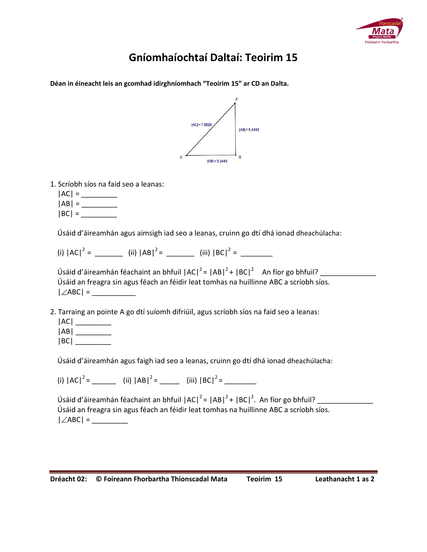

## **Gníomhaíochtaí Daltaí: Teoirim 15**

**Déan in éineacht leis an gcomhad idirghníomhach "Teoirim 15" ar CD an Dalta.**



1. Scríobh síos na faid seo a leanas:

 $|AC| =$  |AB| = \_\_\_\_\_\_\_\_\_  $|BC| =$ 

Úsáid d'áireamhán agus aimsigh iad seo a leanas, cruinn go dtí dhá ionad dheachúlacha:

(i) |AC|<sup>2</sup> = \_\_\_\_\_\_\_ (ii) |AB|<sup>2</sup> = \_\_\_\_\_\_\_ (iii) |BC|<sup>2</sup> = \_\_\_\_\_\_\_\_

| Úsáid d'áireamhán féachaint an bhfuil $ AC ^2 =  AB ^2 +  BC ^2$ An fíor go bhfuil?    |  |
|----------------------------------------------------------------------------------------|--|
| Úsáid an freagra sin agus féach an féidir leat tomhas na huillinne ABC a scríobh síos. |  |
| $ \angle$ ABC $ $ =                                                                    |  |

- 2. Tarraing an pointe A go dtí suíomh difriúil, agus scríobh síos na faid seo a leanas:
	- |AC| \_\_\_\_\_\_\_\_\_ |AB| \_\_\_\_\_\_\_\_\_  $|BC|$

Úsáid d'áireamhán agus faigh iad seo a leanas, cruinn go dtí dhá ionad dheachúlacha:

(i) |AC|<sup>2</sup> = \_\_\_\_\_\_ (ii) |AB|<sup>2</sup> = \_\_\_\_\_ (iii) |BC|<sup>2</sup> = \_\_\_\_\_\_\_\_

 Úsáid d'áireamhán féachaint an bhfuil |AC|<sup>2</sup> = |AB|<sup>2</sup> + |BC|<sup>2</sup> . An fíor go bhfuil? \_\_\_\_\_\_\_\_\_\_\_\_\_\_ Úsáid an freagra sin agus féach an féidir leat tomhas na huillinne ABC a scríobh síos.  $|\angle$ ABC $| =$